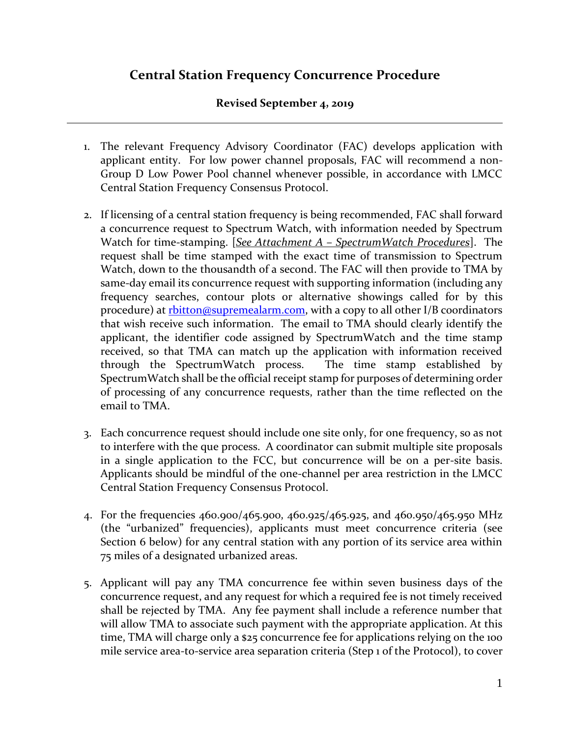## **Central Station Frequency Concurrence Procedure**

#### **Revised September 4, 2019**

- 1. The relevant Frequency Advisory Coordinator (FAC) develops application with applicant entity. For low power channel proposals, FAC will recommend a non-Group D Low Power Pool channel whenever possible, in accordance with LMCC Central Station Frequency Consensus Protocol.
- 2. If licensing of a central station frequency is being recommended, FAC shall forward a concurrence request to Spectrum Watch, with information needed by Spectrum Watch for time-stamping. [*See Attachment A – SpectrumWatch Procedures*]. The request shall be time stamped with the exact time of transmission to Spectrum Watch, down to the thousandth of a second. The FAC will then provide to TMA by same-day email its concurrence request with supporting information (including any frequency searches, contour plots or alternative showings called for by this procedure) at [rbitton@supremealarm.com,](mailto:rbitton@supremealarm.com) with a copy to all other I/B coordinators that wish receive such information. The email to TMA should clearly identify the applicant, the identifier code assigned by SpectrumWatch and the time stamp received, so that TMA can match up the application with information received through the SpectrumWatch process. The time stamp established by SpectrumWatch shall be the official receipt stamp for purposes of determining order of processing of any concurrence requests, rather than the time reflected on the email to TMA.
- 3. Each concurrence request should include one site only, for one frequency, so as not to interfere with the que process. A coordinator can submit multiple site proposals in a single application to the FCC, but concurrence will be on a per-site basis. Applicants should be mindful of the one-channel per area restriction in the LMCC Central Station Frequency Consensus Protocol.
- 4. For the frequencies 460.900/465.900, 460.925/465.925, and 460.950/465.950 MHz (the "urbanized" frequencies), applicants must meet concurrence criteria (see Section 6 below) for any central station with any portion of its service area within 75 miles of a designated urbanized areas.
- 5. Applicant will pay any TMA concurrence fee within seven business days of the concurrence request, and any request for which a required fee is not timely received shall be rejected by TMA. Any fee payment shall include a reference number that will allow TMA to associate such payment with the appropriate application. At this time, TMA will charge only a \$25 concurrence fee for applications relying on the 100 mile service area-to-service area separation criteria (Step 1 of the Protocol), to cover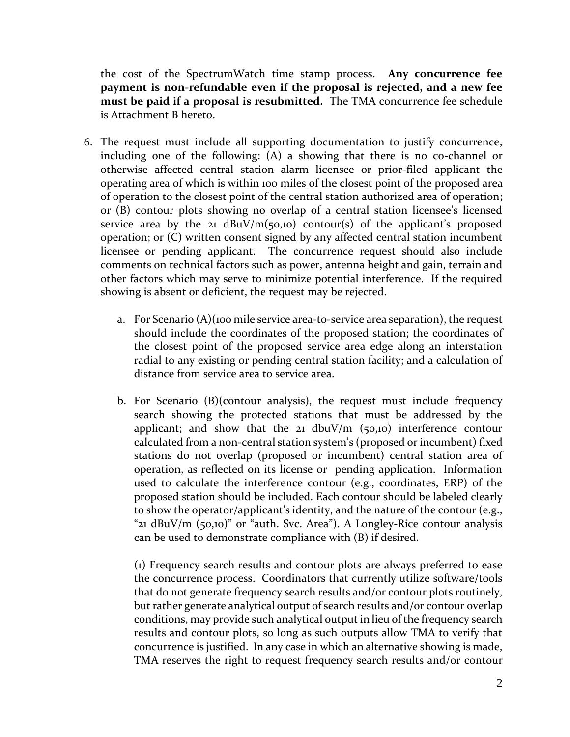the cost of the SpectrumWatch time stamp process. **Any concurrence fee payment is non-refundable even if the proposal is rejected, and a new fee must be paid if a proposal is resubmitted.** The TMA concurrence fee schedule is Attachment B hereto.

- 6. The request must include all supporting documentation to justify concurrence, including one of the following: (A) a showing that there is no co-channel or otherwise affected central station alarm licensee or prior-filed applicant the operating area of which is within 100 miles of the closest point of the proposed area of operation to the closest point of the central station authorized area of operation; or (B) contour plots showing no overlap of a central station licensee's licensed service area by the 21  $dBuV/m(50,10)$  contour(s) of the applicant's proposed operation; or (C) written consent signed by any affected central station incumbent licensee or pending applicant. The concurrence request should also include comments on technical factors such as power, antenna height and gain, terrain and other factors which may serve to minimize potential interference. If the required showing is absent or deficient, the request may be rejected.
	- a. For Scenario (A)(100 mile service area-to-service area separation), the request should include the coordinates of the proposed station; the coordinates of the closest point of the proposed service area edge along an interstation radial to any existing or pending central station facility; and a calculation of distance from service area to service area.
	- b. For Scenario (B)(contour analysis), the request must include frequency search showing the protected stations that must be addressed by the applicant; and show that the 21 dbuV/m  $(50,10)$  interference contour calculated from a non-central station system's (proposed or incumbent) fixed stations do not overlap (proposed or incumbent) central station area of operation, as reflected on its license or pending application. Information used to calculate the interference contour (e.g., coordinates, ERP) of the proposed station should be included. Each contour should be labeled clearly to show the operator/applicant's identity, and the nature of the contour (e.g., " $21$  dBuV/m (50,10)" or "auth. Svc. Area"). A Longley-Rice contour analysis can be used to demonstrate compliance with (B) if desired.

(1) Frequency search results and contour plots are always preferred to ease the concurrence process. Coordinators that currently utilize software/tools that do not generate frequency search results and/or contour plots routinely, but rather generate analytical output of search results and/or contour overlap conditions, may provide such analytical output in lieu of the frequency search results and contour plots, so long as such outputs allow TMA to verify that concurrence is justified. In any case in which an alternative showing is made, TMA reserves the right to request frequency search results and/or contour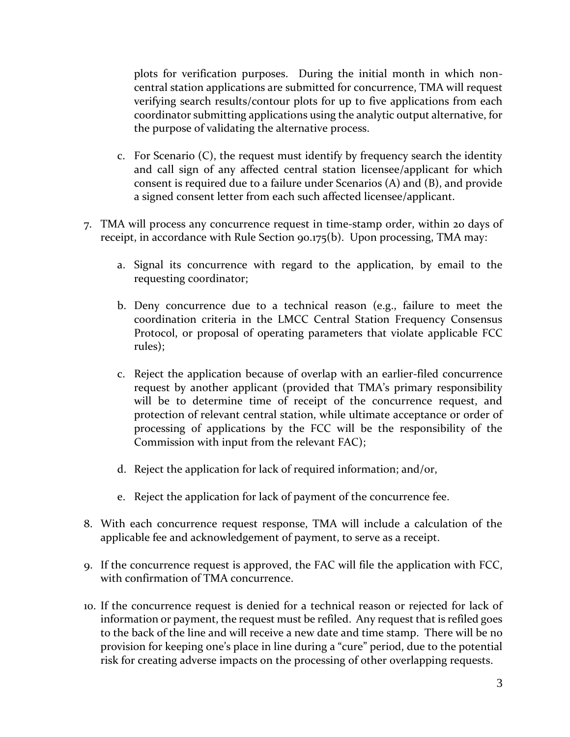plots for verification purposes. During the initial month in which noncentral station applications are submitted for concurrence, TMA will request verifying search results/contour plots for up to five applications from each coordinator submitting applications using the analytic output alternative, for the purpose of validating the alternative process.

- c. For Scenario (C), the request must identify by frequency search the identity and call sign of any affected central station licensee/applicant for which consent is required due to a failure under Scenarios (A) and (B), and provide a signed consent letter from each such affected licensee/applicant.
- 7. TMA will process any concurrence request in time-stamp order, within 20 days of receipt, in accordance with Rule Section 90.175(b). Upon processing, TMA may:
	- a. Signal its concurrence with regard to the application, by email to the requesting coordinator;
	- b. Deny concurrence due to a technical reason (e.g., failure to meet the coordination criteria in the LMCC Central Station Frequency Consensus Protocol, or proposal of operating parameters that violate applicable FCC rules);
	- c. Reject the application because of overlap with an earlier-filed concurrence request by another applicant (provided that TMA's primary responsibility will be to determine time of receipt of the concurrence request, and protection of relevant central station, while ultimate acceptance or order of processing of applications by the FCC will be the responsibility of the Commission with input from the relevant FAC);
	- d. Reject the application for lack of required information; and/or,
	- e. Reject the application for lack of payment of the concurrence fee.
- 8. With each concurrence request response, TMA will include a calculation of the applicable fee and acknowledgement of payment, to serve as a receipt.
- 9. If the concurrence request is approved, the FAC will file the application with FCC, with confirmation of TMA concurrence.
- 10. If the concurrence request is denied for a technical reason or rejected for lack of information or payment, the request must be refiled. Any request that is refiled goes to the back of the line and will receive a new date and time stamp. There will be no provision for keeping one's place in line during a "cure" period, due to the potential risk for creating adverse impacts on the processing of other overlapping requests.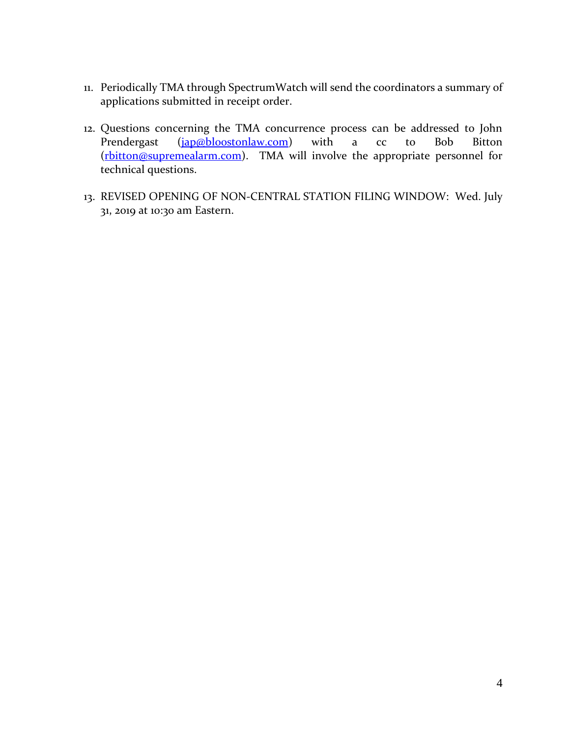- 11. Periodically TMA through SpectrumWatch will send the coordinators a summary of applications submitted in receipt order.
- 12. Questions concerning the TMA concurrence process can be addressed to John Prendergast [\(jap@bloostonlaw.com\)](mailto:jap@bloostonlaw.com) with a cc to Bob Bitton [\(rbitton@supremealarm.com\)](mailto:rbitton@supremealarm.com). TMA will involve the appropriate personnel for technical questions.
- 13. REVISED OPENING OF NON-CENTRAL STATION FILING WINDOW: Wed. July 31, 2019 at 10:30 am Eastern.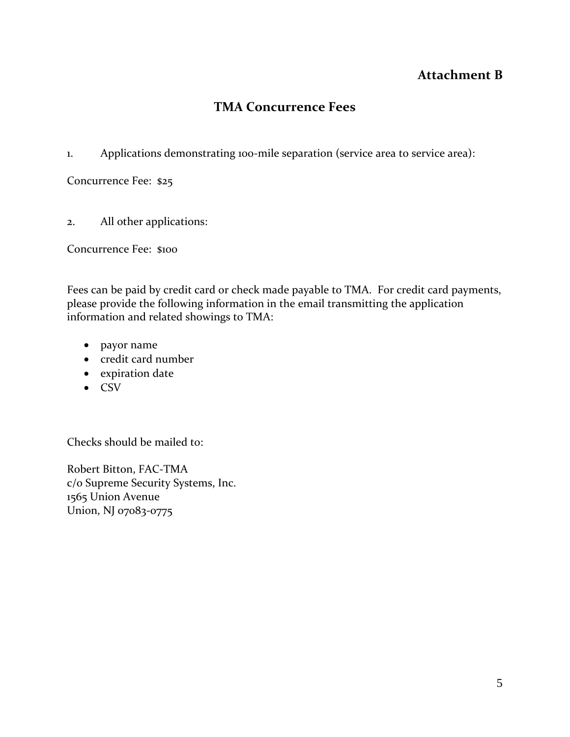### **Attachment B**

# **TMA Concurrence Fees**

1. Applications demonstrating 100-mile separation (service area to service area):

Concurrence Fee: \$25

2. All other applications:

Concurrence Fee: \$100

Fees can be paid by credit card or check made payable to TMA. For credit card payments, please provide the following information in the email transmitting the application information and related showings to TMA:

- payor name
- credit card number
- expiration date
- CSV

Checks should be mailed to:

Robert Bitton, FAC-TMA c/o Supreme Security Systems, Inc. 1565 Union Avenue Union, NJ 07083-0775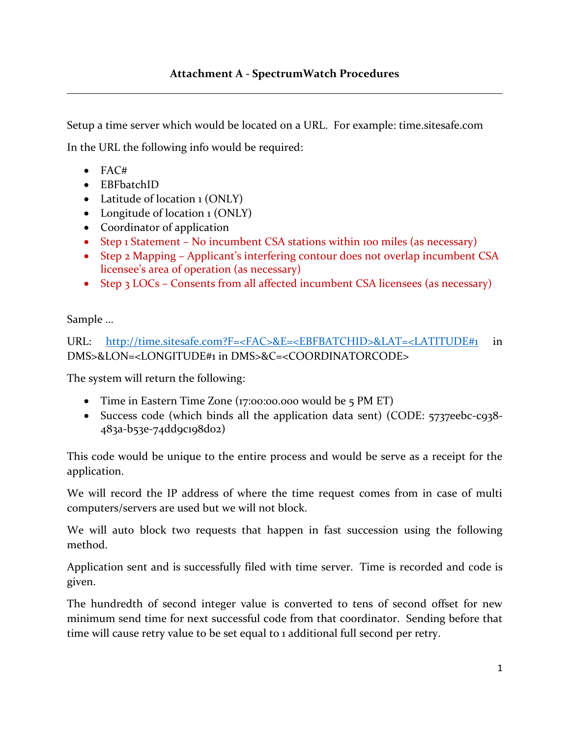Setup a time server which would be located on a URL. For example: time.sitesafe.com

In the URL the following info would be required:

- $\bullet$  FAC#
- EBFbatchID
- Latitude of location 1 (ONLY)
- Longitude of location 1 (ONLY)
- Coordinator of application
- Step 1 Statement No incumbent CSA stations within 100 miles (as necessary)
- Step 2 Mapping Applicant's interfering contour does not overlap incumbent CSA licensee's area of operation (as necessary)
- Step 3 LOCs Consents from all affected incumbent CSA licensees (as necessary)

Sample …

URL: [http://time.sitesafe.com?F=<FAC>&E=<EBFBATCHID>&LAT=<LATITUDE#1](https://url.emailprotection.link/?bIp9Vy_XvecLYzkAeE3wBsm_Z0AcDqaW8PwZzOi8QPulLfjq-zrRfiSelX9WgeLdrqkBa-NMWlKaB8oQO6q3J4mVXGIi4DLMGZqIM56oJqL2VVjbIBK41sgYsHdw6ladS) in DMS>&LON=<LONGITUDE#1 in DMS>&C=<COORDINATORCODE>

The system will return the following:

- Time in Eastern Time Zone (17:00:00.000 would be 5 PM ET)
- Success code (which binds all the application data sent) (CODE: 5737eebc-c938-483a-b53e-74dd9c198d02)

This code would be unique to the entire process and would be serve as a receipt for the application.

We will record the IP address of where the time request comes from in case of multi computers/servers are used but we will not block.

We will auto block two requests that happen in fast succession using the following method.

Application sent and is successfully filed with time server. Time is recorded and code is given.

The hundredth of second integer value is converted to tens of second offset for new minimum send time for next successful code from that coordinator. Sending before that time will cause retry value to be set equal to 1 additional full second per retry.